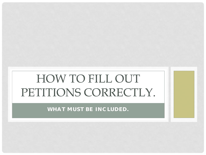## HOW TO FILL OUT PETITIONS CORRECTLY.

**WHAT MUST BE INCLUDED.**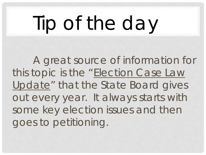# Tip of the day

A great source of information for this topic is the "Election Case Law Update" that the State Board gives out every year. It always starts with some key election issues and then goes to petitioning.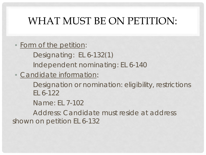### WHAT MUST BE ON PETITION:

• Form of the petition:

Designating: EL 6-132(1)

Independent nominating: EL 6-140

• Candidate information:

Designation or nomination: eligibility, restrictions EL 6-122

Name: EL 7-102

Address: Candidate must reside at address shown on petition EL 6-132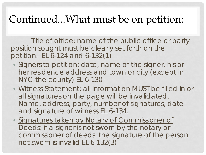### Continued...What must be on petition:

Title of office: name of the public office or party position sought must be clearly set forth on the petition. EL 6-124 and 6-132(1)

- Signers to petition: date, name of the signer, his or her residence address and town or city (except in NYC-the county) EL 6-130
- Witness Statement: all information MUST be filled in or all signatures on the page will be invalidated. Name, address, party, number of signatures, date and signature of witness EL 6-134.
- Signatures taken by Notary of Commissioner of Deeds: if a signer is not sworn by the notary or commissioner of deeds, the signature of the person not sworn is invalid EL 6-132(3)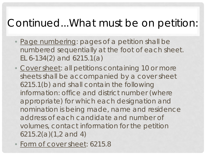### Continued...What must be on petition:

- Page numbering: pages of a petition shall be numbered sequentially at the foot of each sheet. EL 6-134(2) and 6215.1(a)
- Cover sheet: all petitions containing 10 or more sheets shall be accompanied by a cover sheet 6215.1(b) and shall contain the following information: office and district number (where appropriate) for which each designation and nomination is being made, name and residence address of each candidate and number of volumes, contact information for the petition 6215.2(a)(1,2 and 4)
- Form of cover sheet: 6215.8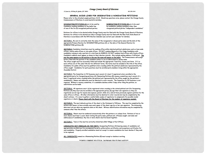### Orange County Board of Elections

25 Court Ln., @O Box 30, Goshen, NY 10924

845-291-2444

GENERAL GUIDE-LINES FOR DESIGNATING & NOMINATING PETITIONS

Please refer to the attached sample petitions A & B. Should any questions arise, please contact the Orange County Commissioners of Elections to avoid wasteful mistakes.

DESIGNATING PETITIONS (A) are to be used by Candidates seeking candidacy on the ballot line of one of the Six (6) recognized political parties.

NOMINATING PETITIONS (B) are to be used by candidates seeking candidacy other than recognized political parties "independent candidates"

Petitions for offices to be elected within Orange County must be filed with the Orange County Board of Elections. Petitions for offices to be elected not fully in Orange County must be filed with the New York State Board of Elections in accordance with the NYS Election Calendar (see current year calendar for details).

SECTION 1. Be sure to correctly state the name of the recognized or chosen party name and the date of the appropriate Primary Election for DESIGNATING petitions (A), or the date of the General Election for NOMINATING petitions (B).

SECTION 2. Candidates listed here must be seeking office within identical political subdivisions such as town-wide offices, county-wide offices or city-wide offices. DO NOT combine Mayoral or City Judge Candidates with candidates running in only a portion of a city/town (ie WARDS). DO NOT combine local offices with County offices. Candidate's address must appear as shown on their election records. Also include mailing address if different. The way the name appears on the petition is the way the name will appear on the ballot. The Commissioners will accept letters filed with the petition if the candidate wishes to use an abbreviated or known name. The office sought must be accurately titled and include the appropriate Town/City, County and State. If 2 or more offices are of the same title but for different terms, the terms must be included in the title of the office. Candidates for public office must be qualified voters residing within the political subdivision represented by the office sought. Candidates for party positions must be enrolled party members living within the appropriate **Assembly District.** 

SECTION 3. The Committee to Fill Vacancies must consist of a least 3 registered voters enrolled in the appropriate party for Designating petitions (A). Nominating Petitions (B) vacancy committees must consist of a least 3 registered voters residing within the political unit represented by the office sought by the petition's candidate(s). Names and addresses must be identical to voter records. The Committee to Fill Vacancies is not required. Without a vacancy committee, if a candidate declines within 3 days after filing the petition, no substitution can be made.

SECTION 4. All signatures must: (a) be registered voters residing in the stated political unit (for Designating Petitions (A) they must also be enrolled in the appropriate party); (b) sign their own signature as they are registered; (c) not sign for anyone else (spouse; parent; child; etc.); (d) not have previously signed a petition for the same office or offices. All other information must be identical to voter records but may be completed by the sheet's witness. It is wise to gather a comfortable surplus of signatures to compensate for possible invalid signatures or sheets. Please check with the Board of Elections for the number of signatures needed.

SECTION 5. The most delicate portion of the sheet is the Statement of Witness. This must be completed by the witness who swears to have actually seen each signer of the sheet sign his or her own signature. The witnessing date must not pre-date any signature date on the sheet. Witness identification information may be completed by someone other than the witness.

SECTION 6. Sheets must be numbered consecutively after the petition is in volume form. Petitions of ten or more sheets must bear a cover sheet stating the party name, political unit, office(s) sought, and name and address(es) of candidate(s). Any two or more sheets must be bound together.

SECTION 7. Town or City must be correctly stated here (Not Village or Post Office).

CANDIDATES NOT ENROLLED IN THE PARTY: Designating Petitions (A)-bearing names of candidates not appropriately enrolled must be accompanied by party authorization certificates and acceptance certificates for said candidates. Properly enrolled candidates need not accept to remain candidates but must decline if they wish to be replaced.

ALL CANDIDATES named on a Nominating Petition (B) must accept or decline in writing.

\*\* CHECK CURRENT POLITTICAL CALENDAR FOR ETITNG DATES\*\*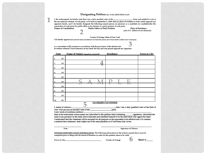### Designating Petition Sec. 6-132, ELECTION LAW

I, the undersigned, do hereby state that I am a duly enrolled voter of the \_\_\_\_\_ Party and entitled to vote at the next primary election of such party, to be held on September 9, 2008; that my place of residence is truly stated opposite my signature hereto, and I do hereby designate the following named person (or persons) as a candidate (or candidates)for the nomination of such party for public office or for election to a party position of such party. **Names of Candidate(s) Public Office or Party Position** 

**Place of Residence** (also P.O. address if not identical)

County of Orange, State of New York

I do hereby appoint (here insert the names and addresses of at least three persons, all of whom shall be enrolled voters of said party).

as a committee to fill vacancies in accordance with the provisions of the election law. In witness whereof, I have hereunto set my hand, the day and year placed opposite my signature.

| <b>Date</b> |     | Name of Signer (signature required) | Residence                                                                                                       | <b>Town or City</b> |
|-------------|-----|-------------------------------------|-----------------------------------------------------------------------------------------------------------------|---------------------|
| 1.          | /07 |                                     |                                                                                                                 |                     |
| 2.          | /07 |                                     |                                                                                                                 |                     |
| 5.          | /07 |                                     |                                                                                                                 |                     |
| 4.          | /07 |                                     |                                                                                                                 |                     |
| Б.          | /07 |                                     |                                                                                                                 |                     |
| 6.          | /07 |                                     |                                                                                                                 |                     |
| 7.          | /07 | ı                                   |                                                                                                                 |                     |
| 8.          | /07 |                                     |                                                                                                                 |                     |
| 9.          | /07 |                                     |                                                                                                                 |                     |
| 10.         | /07 |                                     |                                                                                                                 |                     |
|             | .   | <b>STATEMENT OF WITNESS</b>         | the contract of the contract of the contract of the contract of the contract of the contract of the contract of |                     |

I. (name of witness) state: I am a duly qualified voter of the State of New York and am an enrolled voter of the party.

I now reside at (residence address)

Each of the individuals whose names are subscribed to this petition sheet containing signatures, subscribed the same in my presence on the dates above indicated and identified himself to be the individual who signed the sheet. I understand that this statement will be accepted for all purposes as the equivalent of an affidavit and, if it contains a material false statement, shall subject me to the same penalties as if I had been duly sworn.

**Signature of Witness** 

WITNESS IDENTIFICATION INFORMATION: The following information for the witness named above must be completed prior to filing with the Board of Elections in order for this petition sheet to be valid.

Town or City\_

County of Orange

Sheet #